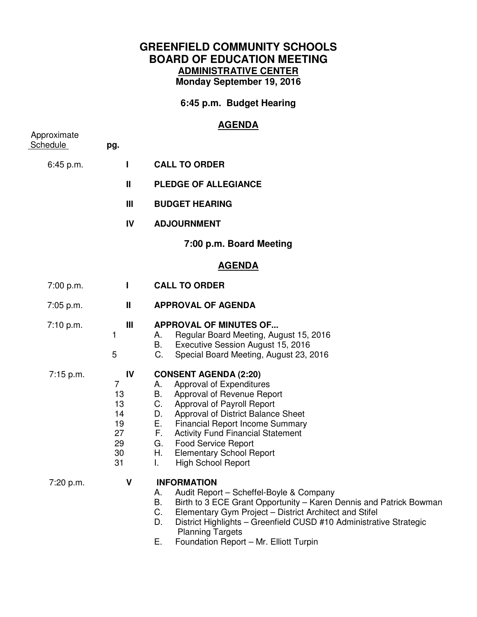## **GREENFIELD COMMUNITY SCHOOLS BOARD OF EDUCATION MEETING ADMINISTRATIVE CENTER Monday September 19, 2016**

**6:45 p.m. Budget Hearing** 

## **AGENDA**

| Approximate     |                                                         |                                                                                                                                                                                                                                                                                                                                                                                                      |
|-----------------|---------------------------------------------------------|------------------------------------------------------------------------------------------------------------------------------------------------------------------------------------------------------------------------------------------------------------------------------------------------------------------------------------------------------------------------------------------------------|
| <b>Schedule</b> | pg.                                                     |                                                                                                                                                                                                                                                                                                                                                                                                      |
| 6:45 p.m.       | $\mathbf{I}$                                            | <b>CALL TO ORDER</b>                                                                                                                                                                                                                                                                                                                                                                                 |
|                 | $\mathbf{I}$                                            | <b>PLEDGE OF ALLEGIANCE</b>                                                                                                                                                                                                                                                                                                                                                                          |
|                 | Ш                                                       | <b>BUDGET HEARING</b>                                                                                                                                                                                                                                                                                                                                                                                |
|                 | IV                                                      | <b>ADJOURNMENT</b>                                                                                                                                                                                                                                                                                                                                                                                   |
|                 |                                                         | 7:00 p.m. Board Meeting                                                                                                                                                                                                                                                                                                                                                                              |
|                 |                                                         | <u>AGENDA</u>                                                                                                                                                                                                                                                                                                                                                                                        |
| 7:00 p.m.       | L                                                       | <b>CALL TO ORDER</b>                                                                                                                                                                                                                                                                                                                                                                                 |
| $7:05$ p.m.     | $\mathbf{I}$                                            | <b>APPROVAL OF AGENDA</b>                                                                                                                                                                                                                                                                                                                                                                            |
| 7:10 p.m.       | $\mathbf{III}$<br>1<br>5                                | <b>APPROVAL OF MINUTES OF</b><br>Regular Board Meeting, August 15, 2016<br>А.<br>Executive Session August 15, 2016<br>В.<br>C.<br>Special Board Meeting, August 23, 2016                                                                                                                                                                                                                             |
| 7:15 p.m.       | IV<br>7<br>13<br>13<br>14<br>19<br>27<br>29<br>30<br>31 | <b>CONSENT AGENDA (2:20)</b><br>Approval of Expenditures<br>А.<br>Approval of Revenue Report<br>В.<br>C.<br>Approval of Payroll Report<br>Approval of District Balance Sheet<br>D.<br>Е.<br><b>Financial Report Income Summary</b><br>F.<br><b>Activity Fund Financial Statement</b><br>G.<br><b>Food Service Report</b><br><b>Elementary School Report</b><br>Н.<br>L.<br><b>High School Report</b> |
| 7:20 p.m.       | $\mathbf v$                                             | <b>INFORMATION</b><br>Audit Report - Scheffel-Boyle & Company<br>Α.<br>Birth to 3 ECE Grant Opportunity - Karen Dennis and Patrick Bowman<br>Β.<br>C.<br>Elementary Gym Project - District Architect and Stifel<br>D.<br>District Highlights - Greenfield CUSD #10 Administrative Strategic<br><b>Planning Targets</b>                                                                               |

E. Foundation Report – Mr. Elliott Turpin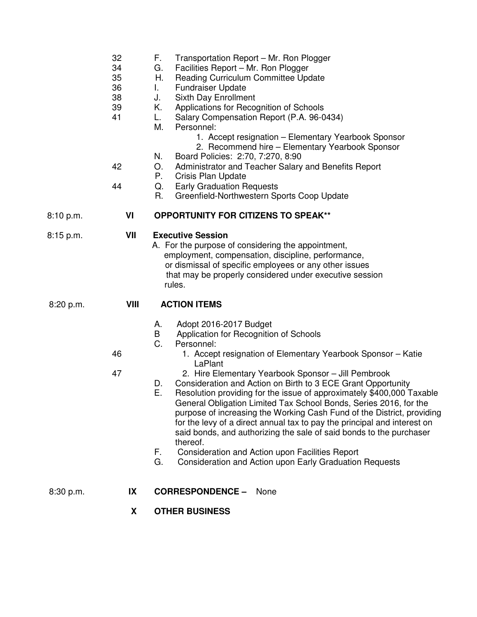|           | 32<br>34<br>35<br>36<br>38<br>39<br>41<br>42<br>44 | F.<br>Transportation Report - Mr. Ron Plogger<br>Facilities Report - Mr. Ron Plogger<br>G.<br>Reading Curriculum Committee Update<br>Н.<br><b>Fundraiser Update</b><br>L.<br>Sixth Day Enrollment<br>J.<br>Applications for Recognition of Schools<br>Κ.<br>Salary Compensation Report (P.A. 96-0434)<br>L.<br>Personnel:<br>М.<br>1. Accept resignation - Elementary Yearbook Sponsor<br>2. Recommend hire - Elementary Yearbook Sponsor<br>Board Policies: 2:70, 7:270, 8:90<br>N.<br>Administrator and Teacher Salary and Benefits Report<br>O.<br>Crisis Plan Update<br>Р.<br><b>Early Graduation Requests</b><br>Q.<br>R.<br>Greenfield-Northwestern Sports Coop Update                                                                                                                                                   |
|-----------|----------------------------------------------------|--------------------------------------------------------------------------------------------------------------------------------------------------------------------------------------------------------------------------------------------------------------------------------------------------------------------------------------------------------------------------------------------------------------------------------------------------------------------------------------------------------------------------------------------------------------------------------------------------------------------------------------------------------------------------------------------------------------------------------------------------------------------------------------------------------------------------------|
| 8:10 p.m. | VI                                                 | <b>OPPORTUNITY FOR CITIZENS TO SPEAK**</b>                                                                                                                                                                                                                                                                                                                                                                                                                                                                                                                                                                                                                                                                                                                                                                                     |
| 8:15 p.m. | VII                                                | <b>Executive Session</b><br>A. For the purpose of considering the appointment,<br>employment, compensation, discipline, performance,<br>or dismissal of specific employees or any other issues<br>that may be properly considered under executive session<br>rules.                                                                                                                                                                                                                                                                                                                                                                                                                                                                                                                                                            |
| 8:20 p.m. | VIII                                               | <b>ACTION ITEMS</b>                                                                                                                                                                                                                                                                                                                                                                                                                                                                                                                                                                                                                                                                                                                                                                                                            |
|           | 46<br>47                                           | Adopt 2016-2017 Budget<br>А.<br>Application for Recognition of Schools<br>B<br>C.<br>Personnel:<br>1. Accept resignation of Elementary Yearbook Sponsor - Katie<br>LaPlant<br>2. Hire Elementary Yearbook Sponsor - Jill Pembrook<br>Consideration and Action on Birth to 3 ECE Grant Opportunity<br>D.<br>Ε.<br>Resolution providing for the issue of approximately \$400,000 Taxable<br>General Obligation Limited Tax School Bonds, Series 2016, for the<br>purpose of increasing the Working Cash Fund of the District, providing<br>for the levy of a direct annual tax to pay the principal and interest on<br>said bonds, and authorizing the sale of said bonds to the purchaser<br>thereof.<br>Consideration and Action upon Facilities Report<br>F.<br>G.<br>Consideration and Action upon Early Graduation Requests |
| 8:30 p.m. | IX                                                 | <b>CORRESPONDENCE -</b><br>None                                                                                                                                                                                                                                                                                                                                                                                                                                                                                                                                                                                                                                                                                                                                                                                                |
|           | X                                                  | <b>OTHER BUSINESS</b>                                                                                                                                                                                                                                                                                                                                                                                                                                                                                                                                                                                                                                                                                                                                                                                                          |